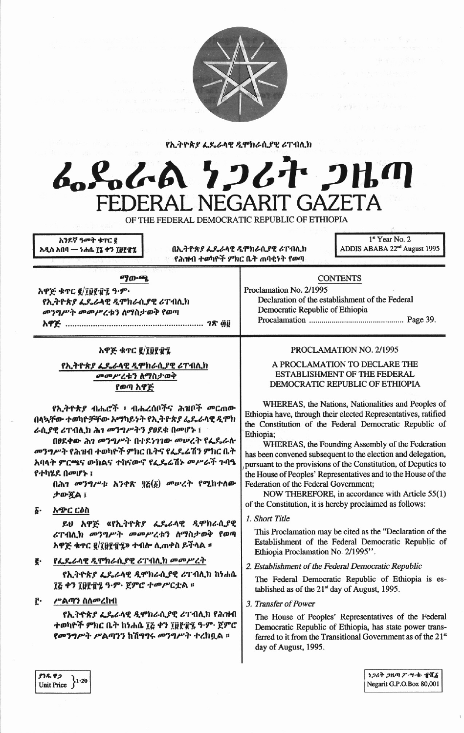

የኢትዮጵያ ፌዴራላዊ ዲሞክራሲያዊ ሪፐብሊክ

# んとんよ ケンムナ ンルの FEDERAL NEGARIT GAZETA

OF THE FEDERAL DEMOCRATIC REPUBLIC OF ETHIOPIA

አንደኛ ዓመት ቁዋር ፪ አዲስ አበባ — ነሐሴ ፲፯ ቀን ፲፱፻፹፯

በኢትዮጵያ ፌዴራላዊ ዲሞክራሲያዊ ሪፐብሊክ የሕዝብ ተወካዮች ምክር ቤት ጠባቂነት የወጣ

Proclamation No. 2/1995

1st Year No. 2 ADDIS ABABA 22<sup>nd</sup> August 1995

#### ማውጫ

አዋጅ ቁጥር ፪/፲፱፻፹፯ ዓ.ም. የኢትዮጵያ ፌዴራላዊ ዲሞክራሲያዊ ሪፐብሊክ መንግሥት መመሥረቱን ስማስታወቅ የወጣ 

### አዋጅ ቁጥር ፪/፲፱፻፹፯

የኢትዮጵያ ፌዴራላዊ ዲሞክራሲያዊ ሪፐብሊክ መመሥረቱን ለማስታወቅ የወጣ አዋጅ

የኢትዮጵያ ብሔሮች ፥ ብሔረሰቦችና ሕዝቦች መርጠው በላኳቸው ተወካዮቻቸው አማካይነት የኢትዮጵያ ፌዴራላዊ ዲሞክ ራሲያዊ ሪፐብሊክ ሕገ መንግሥትን ያፀደቁ በመሆኑ ፤

በፀደቀው ሕገ መንግሥት በተደነገገው መሠረት የፌዴራሉ መንግሥት የሕዝብ ተወካዮች ምክር ቤትና የፌዴራሽን ምክር ቤት አባላት ምርጫና ውክልና ተከናውኖ የፌዴሬሽኑ መሥራች ጉባዔ የተካሄደ በመሆኑ ፤

በሕገ መንግሥቱ አንቀጽ ፶፩(፩) መሠረት የሚከተለው ታውጇል ፤

አጭር ርዕስ δ.

> ይሀ አዋጅ «የኢትዮጵ*ያ ፌ*ዴራላዊ *ዲ*ሞክራሲያዊ ሪፐብሊክ መንግሥት መመሥረቱን ለማስታወቅ የወጣ <u>አዋጅ ቁጥር ፪/፲፱፻፹፯</u>» ተብሎ ሲጠቀስ ይችላል ፡፡

የፌዴራላዊ ዲሞክራሲያዊ ሪፐብሊክ መመሥረት g.

> የኢትዮጵያ ፌዴራላዊ ዲሞክራሲያዊ ሪፐብሊክ ከነሐሴ ፲፭ ቀን ፲፱፻፹፯ ዓ·ም· ጀምሮ ተመሥርቷል ፡፡

ŕ٠ ሥልጣን ስለመረከብ

> የኢትዮጵያ ፌዴራላዊ ዲሞክራሲያዊ ሪፐብሊክ የሕዝብ ተወካዮች ምክር ቤት ከነሐሴ ፲፭ ቀን ፲፱፻፹፯ ዓ·ም· ጀምሮ የመንግሥት ሥልጣንን ከሽግግሩ መንግሥት ተረከቧል ።

## 

**CONTENTS** 

Declaration of the establishment of the Federal

Democratic Republic of Ethiopia

### PROCLAMATION NO. 2/1995

### A PROCLAMATION TO DECLARE THE ESTABLISHMENT OF THE FEDERAL DEMOCRATIC REPUBLIC OF ETHIOPIA

WHEREAS, the Nations, Nationalities and Peoples of Ethiopia have, through their elected Representatives, ratified the Constitution of the Federal Democratic Republic of Ethiopia;

WHEREAS, the Founding Assembly of the Federation has been convened subsequent to the election and delegation, pursuant to the provisions of the Constitution, of Deputies to the House of Peoples' Representatives and to the House of the Federation of the Federal Government;

NOW THEREFORE, in accordance with Article 55(1) of the Constitution, it is hereby proclaimed as follows:

1. Short Title

This Proclamation may be cited as the "Declaration of the Establishment of the Federal Democratic Republic of Ethiopia Proclamation No. 2/1995".

2. Establishment of the Federal Democratic Republic

The Federal Democratic Republic of Ethiopia is established as of the  $21<sup>st</sup>$  day of August, 1995.

3. Transfer of Power

The House of Peoples' Representatives of the Federal Democratic Republic of Ethiopia, has state power transferred to it from the Transitional Government as of the 21<sup>st</sup> day of August, 1995.

97892 Unit Price  $\}1.20$ 

ነጋሪት ጋዜጣ ፖ・ሣ・ቁ・ 賞ሺ፩ Negarit G.P.O.Box 80,001